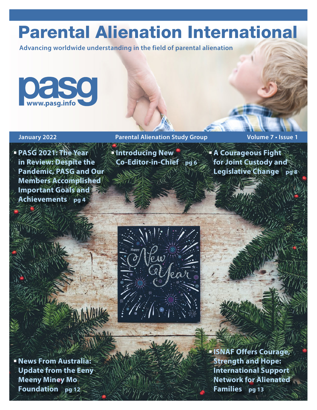# Parental Alienation International

**Advancing worldwide understanding in the field of parental alienation**



### **January 2022 Parental Alienation Study Group Volume 7 • Issue 1**

 **PASG 2021: The Year in Review: Despite the Pandemic, PASG and Our Members Accomplished Important Goals and Achievements pg 4** 

 **Introducing New Co-Editor-in-Chief pg 6**   **A Courageous Fight for Joint Custody and Legislative Change** pg8



 **News From Australia: Update from the Eeny Meeny Miney Mo Foundation pg 12**

 **ISNAF Offers Courage, Strength and Hope: International Support Network for Alienated Families pg 13**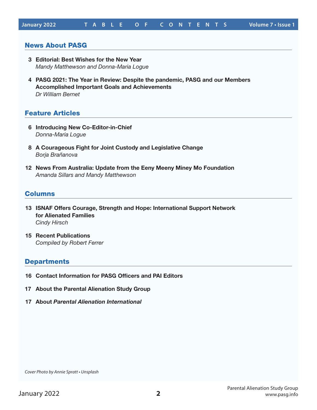#### News About PASG

- **3 Editorial: Best Wishes for the New Year** *Mandy Matthewson and Donna-Maria Logue*
- **4 PASG 2021: The Year in Review: Despite the pandemic, PASG and our Members Accomplished Important Goals and Achievements** *Dr William Bernet*

#### Feature Articles

- **6 Introducing New Co-Editor-in-Chief** *Donna-Maria Logue*
- **8 A Courageous Fight for Joint Custody and Legislative Change** *Borja Brañanova*
- **12 News From Australia: Update from the Eeny Meeny Miney Mo Foundation** *Amanda Sillars and Mandy Matthewson*

#### Columns

- **13 ISNAF Offers Courage, Strength and Hope: International Support Network for Alienated Families**  *Cindy Hirsch*
- **15 Recent Publications** *Compiled by Robert Ferrer*

#### **Departments**

- **16 Contact Information for PASG Officers and PAI Editors**
- **17 About the Parental Alienation Study Group**
- **17 About** *Parental Alienation International*

*Cover Photo by Annie Spratt • Unsplash*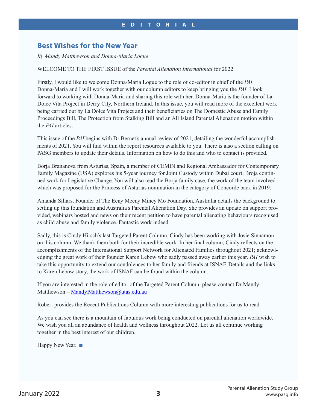## **Best Wishes for the New Year**

#### *By Mandy Matthewson and Donna-Maria Logue*

#### WELCOME TO THE FIRST ISSUE of the *Parental Alienation International* for 2022.

Firstly, I would like to welcome Donna-Maria Logue to the role of co-editor in chief of the *PAI*. Donna-Maria and I will work together with our column editors to keep bringing you the *PAI*. I look forward to working with Donna-Maria and sharing this role with her. Donna-Maria is the founder of La Dolce Vita Project in Derry City, Northern Ireland. In this issue, you will read more of the excellent work being carried out by La Dolce Vita Project and their beneficiaries on The Domestic Abuse and Family Proceedings Bill, The Protection from Stalking Bill and an All Island Parental Alienation motion within the *PAI* articles.

This issue of the *PAI* begins with Dr Bernet's annual review of 2021, detailing the wonderful accomplishments of 2021. You will find within the report resources available to you. There is also a section calling on PASG members to update their details. Information on how to do this and who to contact is provided.

Borja Brananova from Asturias, Spain, a member of CEMIN and Regional Ambassador for Contemporary Family Magazine (USA) explores his 5-year journey for Joint Custody within Dubai court, Broja continued work for Legislative Change. You will also read the Borja family case, the work of the team involved which was proposed for the Princess of Asturias nomination in the category of Concorde back in 2019.

Amanda Sillars, Founder of The Eeny Meeny Miney Mo Foundation, Australia details the background to setting up this foundation and Australia's Parental Alienation Day. She provides an update on support provided, webinars hosted and news on their recent petition to have parental alienating behaviours recognised as child abuse and family violence. Fantastic work indeed.

Sadly, this is Cindy Hirsch's last Targeted Parent Column. Cindy has been working with Josie Sinnamon on this column. We thank them both for their incredible work. In her final column, Cindy reflects on the accomplishments of the International Support Network for Alienated Families throughout 2021; acknowledging the great work of their founder Karen Lebow who sadly passed away earlier this year. *PAI* wish to take this opportunity to extend our condolences to her family and friends at ISNAF. Details and the links to Karen Lebow story, the work of ISNAF can be found within the column.

If you are interested in the role of editor of the Targeted Parent Column, please contact Dr Mandy Matthewson – Mandy.Matthewson@utas.edu.au

Robert provides the Recent Publications Column with more interesting publications for us to read.

As you can see there is a mountain of fabulous work being conducted on parental alienation worldwide. We wish you all an abundance of health and wellness throughout 2022. Let us all continue working together in the best interest of our children.

Happy New Year. ■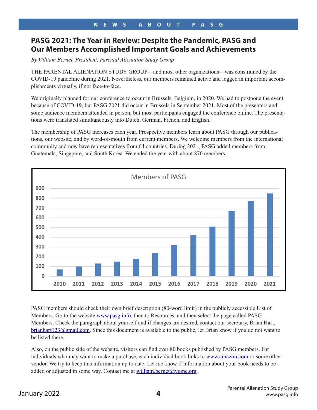#### **PASG 2021: The Year in Review: Despite the Pandemic, PASG and THE LOST III INCREMIT INCORRET ALIENATION STATES AND ALIENATION CONTROLLIER ALIGNATION CONTROLLIER STATES AND M**<br>Our Members Accomplished Important Goals and Achievements cui members Accompusited important duais and Acmevements

By William Bernet, President, Parental Alienation Study Group

**Accomplished Important Goals and Achievements** 

THE PARENTAL ALIENATION STUDY GROUP—and most other organizations—was constrained by the<br>COVID-19 and to in Article 2021. Meanth data are we well are appealing to the part lacend in investor to occur COVID-19 pandemic during 2021. Nevertheless, our members remained active and logged in important accom-<br>plickwasts sitteally if not face to face. plishments virtually, if not face-to-face.  $2012$  most of the presenters and some audience members at the person members at the person of person, but most participants at the person of  $\mu$ 

We originally planned for our conference to occur in Brussels, Belgium, in 2020. We had to postpone the event because of COVID-19, but PASG 2021 did occur in Brussels in September 2021. Most of the presenters and some audience members attended in person, but most participants engaged the conference online. The presentations were translated simultaneously into Dutch, German, French, and English.

The membership of PASG increases each year. Prospective members learn about PASG through our publications, our website, and by word-of-mouth from current members. We welcome members from the international properties of a properties from Guatemala, Singapore, and South Korea. We ended the singapore, and South Korea. We en community and now have representatives from 64 countries. During 2021, PASG added members from Guatemala, Singapore, and South Korea. We ended the year with about 870 members. year with about 870 members. me members from the international community and now have represented the international community and non-



PASG members should check their own brief description (80-word limit) in the publicly accessible List of Members. Go to the website www.pasg.info, then to Resources, and then select the page called PASG Members. Check the paragraph about yourself and if changes are desired, contact our secretary, Brian Hart, brianhart123@gmail.com. Since this document is available to the public, let Brian know if you do not want to be listed there.

Also, on the public side of the website, visitors can find over 80 books published by PASG members. For individuals who may want to make a purchase, each individual book links to www.amazon.com or some other vendor. We try to keep this information up to date. Let me know if information about your book needs to be added or adjusted in some way. Contact me at  $\frac{william.bernet@vume.org.}$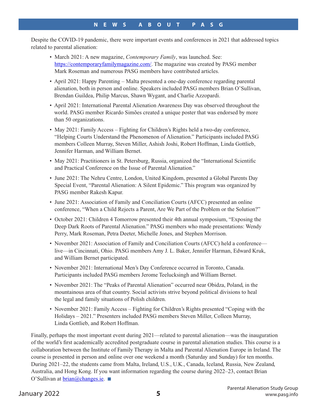Despite the COVID-19 pandemic, there were important events and conferences in 2021 that addressed topics related to parental alienation:

- March 2021: A new magazine, *Contemporary Family*, was launched. See: https://contemporaryfamilymagazine.com/. The magazine was created by PASG member Mark Roseman and numerous PASG members have contributed articles.
- April 2021: Happy Parenting Malta presented a one-day conference regarding parental alienation, both in person and online. Speakers included PASG members Brian O'Sullivan, Brendan Guildea, Philip Marcus, Shawn Wygant, and Charlie Azzopardi.
- April 2021: International Parental Alienation Awareness Day was observed throughout the world. PASG member Ricardo Simões created a unique poster that was endorsed by more than 50 organizations.
- May 2021: Family Access Fighting for Children's Rights held a two-day conference, "Helping Courts Understand the Phenomenon of Alienation." Participants included PASG members Colleen Murray, Steven Miller, Ashish Joshi, Robert Hoffman, Linda Gottlieb, Jennifer Harman, and William Bernet.
- May 2021: Practitioners in St. Petersburg, Russia, organized the "International Scientific and Practical Conference on the Issue of Parental Alienation."
- June 2021: The Nehru Centre, London, United Kingdom, presented a Global Parents Day Special Event, "Parental Alienation: A Silent Epidemic." This program was organized by PASG member Rakesh Kapur.
- June 2021: Association of Family and Conciliation Courts (AFCC) presented an online conference, "When a Child Rejects a Parent, Are We Part of the Problem or the Solution?"
- October 2021: Children 4 Tomorrow presented their 4th annual symposium, "Exposing the Deep Dark Roots of Parental Alienation." PASG members who made presentations: Wendy Perry, Mark Roseman, Petra Deeter, Michelle Jones, and Stephen Morrison.
- November 2021: Association of Family and Conciliation Courts (AFCC) held a conference live—in Cincinnati, Ohio. PASG members Amy J. L. Baker, Jennifer Harman, Edward Kruk, and William Bernet participated.
- November 2021: International Men's Day Conference occurred in Toronto, Canada. Participants included PASG members Jerome Teelucksingh and William Bernet.
- November 2021: The "Peaks of Parental Alienation" occurred near Obidza, Poland, in the mountainous area of that country. Social activists strive beyond political divisions to heal the legal and family situations of Polish children.
- November 2021: Family Access Fighting for Children's Rights presented "Coping with the Holidays – 2021." Presenters included PASG members Steven Miller, Colleen Murray, Linda Gottlieb, and Robert Hoffman.

Finally, perhaps the most important event during 2021—related to parental alienation—was the inauguration of the world's first academically accredited postgraduate course in parental alienation studies. This course is a collaboration between the Institute of Family Therapy in Malta and Parental Alienation Europe in Ireland. The course is presented in person and online over one weekend a month (Saturday and Sunday) for ten months. During 2021–22, the students came from Malta, Ireland, U.S., U.K., Canada, Iceland, Russia, New Zealand, Australia, and Hong Kong. If you want information regarding the course during 2022–23, contact Brian O'Sullivan at  $brain@changes.ie.$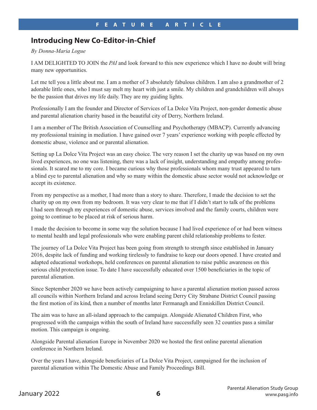## **Introducing New Co-Editor-in-Chief**

#### *By Donna-Maria Logue*

I AM DELIGHTED TO JOIN the *PAI* and look forward to this new experience which I have no doubt will bring many new opportunities.

Let me tell you a little about me. I am a mother of 3 absolutely fabulous children. I am also a grandmother of 2 adorable little ones, who I must say melt my heart with just a smile. My children and grandchildren will always be the passion that drives my life daily. They are my guiding lights.

Professionally I am the founder and Director of Services of La Dolce Vita Project, non-gender domestic abuse and parental alienation charity based in the beautiful city of Derry, Northern Ireland.

I am a member of The British Association of Counselling and Psychotherapy (MBACP). Currently advancing my professional training in mediation. I have gained over 7 years' experience working with people effected by domestic abuse, violence and or parental alienation.

Setting up La Dolce Vita Project was an easy choice. The very reason I set the charity up was based on my own lived experiences, no one was listening, there was a lack of insight, understanding and empathy among professionals. It scared me to my core. I became curious why those professionals whom many trust appeared to turn a blind eye to parental alienation and why so many within the domestic abuse sector would not acknowledge or accept its existence.

From my perspective as a mother, I had more than a story to share. Therefore, I made the decision to set the charity up on my own from my bedroom. It was very clear to me that if I didn't start to talk of the problems I had seen through my experiences of domestic abuse, services involved and the family courts, children were going to continue to be placed at risk of serious harm.

I made the decision to become in some way the solution because I had lived experience of or had been witness to mental health and legal professionals who were enabling parent child relationship problems to fester.

The journey of La Dolce Vita Project has been going from strength to strength since established in January 2016, despite lack of funding and working tirelessly to fundraise to keep our doors opened. I have created and adapted educational workshops, held conferences on parental alienation to raise public awareness on this serious child protection issue. To date I have successfully educated over 1500 beneficiaries in the topic of parental alienation.

Since September 2020 we have been actively campaigning to have a parental alienation motion passed across all councils within Northern Ireland and across Ireland seeing Derry City Strabane District Council passing the first motion of its kind, then a number of months later Fermanagh and Enniskillen District Council.

The aim was to have an all-island approach to the campaign. Alongside Alienated Children First, who progressed with the campaign within the south of Ireland have successfully seen 32 counties pass a similar motion. This campaign is ongoing.

Alongside Parental alienation Europe in November 2020 we hosted the first online parental alienation conference in Northern Ireland.

Over the years I have, alongside beneficiaries of La Dolce Vita Project, campaigned for the inclusion of parental alienation within The Domestic Abuse and Family Proceedings Bill.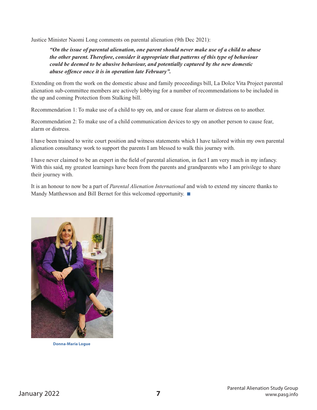Justice Minister Naomi Long comments on parental alienation (9th Dec 2021):

*"On the issue of parental alienation, one parent should never make use of a child to abuse*  the other parent. Therefore, consider it appropriate that patterns of this type of behaviour *definition* by the *definition behaviour could be deemed to be abusive behaviour, and potentially captured by the new domestic abuse offence once it is in operation late February".* "*On the issue of parental alienation, one parent should never make use of a child to*  abuse the ussue of parental allenation, one parent should never make use of a child to abuse of the state that p<br>The patterns of the constant patterns of the constant of the constant of the constant of the constant of the

Extending on from the work on the domestic abuse and family proceedings bill, La Dolce Vita Project parental alienation sub-committee members are actively lobbying for a number of recommendations to be included in the up and coming Protection from Stalking bill. Extending on from the work on the domestic abuse and family proceedings bill, La Dolce Vita Project <mark>f</mark> Recommendation 1: To make use of a child to spy on, and or cause fear alarm or distress on to

Recommendation 1: To make use of a child to spy on, and or cause fear alarm or distress on to another.

Recommendation 2: To make use of a child communication devices to spy on another person to cause fear, Recommendation 2: To make use of a child communication devices to spy on another person alarm or distress.

I have been trained to write court position and witness statements which I have tailored within my own parental I have been trained to write court position and witness statements which I have tailored within alienation consultancy work to support the parents I am blessed to walk this journey with.

I have never claimed to be an expert in the field of parental alienation, in fact I am very much in my infancy. With this said, my greatest learnings have been from the parents and grandparents who I am privilege to share their journey with. Their same with their same been from the parents and parents and parents and parents and parents and parents and parents and parents and parents and parents and parents and parents and parents and paren

It is an honour to now be a part of *Parental Alienation International* and wish to extend my sincere thanks to Mandy Matthewson and Bill Bernet for this welcomed opportunity. sincere thanks to Mandy Matthewson and Bill Bernet for this welcomed opportunity.



**Donna-Maria Logue**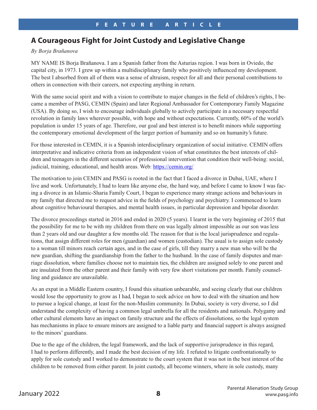# **A Courageous Fight for Joint Custody and Legislative Change**

#### *By Borja Brañanova*

MY NAME IS Borja Brañanova. I am a Spanish father from the Asturias region. I was born in Oviedo, the capital city, in 1973. I grew up within a multidisciplinary family who positively influenced my development. The best I absorbed from all of them was a sense of altruism, respect for all and their personal contributions to others in connection with their careers, not expecting anything in return.

With the same social spirit and with a vision to contribute to major changes in the field of children's rights, I became a member of PASG, CEMIN (Spain) and later Regional Ambassador for Contemporary Family Magazine (USA). By doing so, I wish to encourage individuals globally to actively participate in a necessary respectful revolution in family laws wherever possible, with hope and without expectations. Currently, 60% of the world's population is under 15 years of age. Therefore, our goal and best interest is to benefit minors while supporting the contemporary emotional development of the larger portion of humanity and so on humanity's future.

For those interested in CEMIN, it is a Spanish interdisciplinary organization of social initiative. CEMIN offers interpretative and indicative criteria from an independent vision of what constitutes the best interests of children and teenagers in the different scenarios of professional intervention that condition their well-being: social, judicial, training, educational, and health areas. Web: https://cemin.org/

The motivation to join CEMIN and PASG is rooted in the fact that I faced a divorce in Dubai, UAE, where I live and work. Unfortunately, I had to learn like anyone else, the hard way, and before I came to know I was facing a divorce in an Islamic-Sharia Family Court, I began to experience many strange actions and behaviours in my family that directed me to request advice in the fields of psychology and psychiatry. I commenced to learn about cognitive behavioural therapies, and mental health issues, in particular depression and bipolar disorder.

The divorce proceedings started in 2016 and ended in 2020 (5 years). I learnt in the very beginning of 2015 that the possibility for me to be with my children from there on was legally almost impossible as our son was less than 2 years old and our daughter a few months old. The reason for that is the local jurisprudence and regulations, that assign different roles for men (guardian) and women (custodian). The usual is to assign sole custody to a woman till minors reach certain ages, and in the case of girls, till they marry a new man who will be the new guardian, shifting the guardianship from the father to the husband. In the case of family disputes and marriage dissolution, where families choose not to maintain ties, the children are assigned solely to one parent and are insulated from the other parent and their family with very few short visitations per month. Family counselling and guidance are unavailable.

As an expat in a Middle Eastern country, I found this situation unbearable, and seeing clearly that our children would lose the opportunity to grow as I had, I began to seek advice on how to deal with the situation and how to pursue a logical change, at least for the non-Muslim community. In Dubai, society is very diverse, so I did understand the complexity of having a common legal umbrella for all the residents and nationals. Polygamy and other cultural elements have an impact on family structure and the effects of dissolutions, so the legal system has mechanisms in place to ensure minors are assigned to a liable party and financial support is always assigned to the minors' guardians.

Due to the age of the children, the legal framework, and the lack of supportive jurisprudence in this regard, I had to perform differently, and I made the best decision of my life. I refuted to litigate confrontationally to apply for sole custody and I worked to demonstrate to the court system that it was not in the best interest of the children to be removed from either parent. In joint custody, all become winners, where in sole custody, many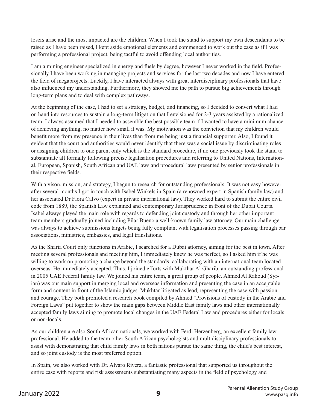losers arise and the most impacted are the children. When I took the stand to support my own descendants to be raised as I have been raised, I kept aside emotional elements and commenced to work out the case as if I was performing a professional project, being tactful to avoid offending local authorities.

I am a mining engineer specialized in energy and fuels by degree, however I never worked in the field. Professionally I have been working in managing projects and services for the last two decades and now I have entered the field of megaprojects. Luckily, I have interacted always with great interdisciplinary professionals that have also influenced my understanding. Furthermore, they showed me the path to pursue big achievements through long-term plans and to deal with complex pathways.

At the beginning of the case, I had to set a strategy, budget, and financing, so I decided to convert what I had on hand into resources to sustain a long-term litigation that I envisioned for 2-3 years assisted by a rationalized team. I always assumed that I needed to assemble the best possible team if I wanted to have a minimum chance of achieving anything, no matter how small it was. My motivation was the conviction that my children would benefit more from my presence in their lives than from me being just a financial supporter. Also, I found it evident that the court and authorities would never identify that there was a social issue by discriminating roles or assigning children to one parent only which is the standard procedure, if no one previously took the stand to substantiate all formally following precise legalisation procedures and referring to United Nations, International, European, Spanish, South African and UAE laws and procedural laws presented by senior professionals in their respective fields.

With a vison, mission, and strategy, I begun to research for outstanding professionals. It was not easy however after several months I got in touch with Isabel Winkels in Spain (a renowned expert in Spanish family law) and her associated Dr Flora Calvo (expert in private international law). They worked hard to submit the entire civil code from 1889, the Spanish Law explained and contemporary Jurisprudence in front of the Dubai Courts. Isabel always played the main role with regards to defending joint custody and through her other important team members gradually joined including Pilar Bueno a well-known family law attorney. Our main challenge was always to achieve submissions targets being fully compliant with legalisation processes passing through bar associations, ministries, embassies, and legal translations.

As the Sharia Court only functions in Arabic, I searched for a Dubai attorney, aiming for the best in town. After meeting several professionals and meeting him, I immediately knew he was perfect, so I asked him if he was willing to work on promoting a change beyond the standards, collaborating with an international team located overseas. He immediately accepted. Thus, I joined efforts with Mukthar Al Gharib, an outstanding professional in 2005 UAE Federal family law. We joined his entire team, a great group of people. Ahmed Al Rahoud (Syrian) was our main support in merging local and overseas information and presenting the case in an acceptable form and content in front of the Islamic judges. Mukhtar litigated as lead, representing the case with passion and courage. They both promoted a research book compiled by Ahmed "Provisions of custody in the Arabic and Foreign Laws" put together to show the main gaps between Middle East family laws and other internationally accepted family laws aiming to promote local changes in the UAE Federal Law and procedures either for locals or non-locals.

As our children are also South African nationals, we worked with Ferdi Herzenberg, an excellent family law professional. He added to the team other South African psychologists and multidisciplinary professionals to assist with demonstrating that child family laws in both nations pursue the same thing, the child's best interest, and so joint custody is the most preferred option.

In Spain, we also worked with Dr. Alvaro Rivera, a fantastic professional that supported us throughout the entire case with reports and risk assessments substantiating many aspects in the field of psychology and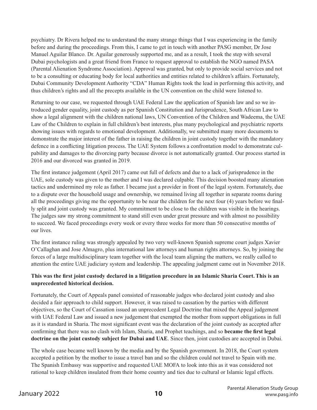psychiatry. Dr Rivera helped me to understand the many strange things that I was experiencing in the family before and during the proceedings. From this, I came to get in touch with another PASG member, Dr Jose Manuel Aguilar Blanco. Dr. Aguilar generously supported me, and as a result, I took the step with several Dubai psychologists and a great friend from France to request approval to establish the NGO named PASA (Parental Alienation Syndrome Association). Approval was granted, but only to provide social services and not to be a consulting or educating body for local authorities and entities related to children's affairs. Fortunately, Dubai Community Development Authority "CDA" Human Rights took the lead in performing this activity, and thus children's rights and all the precepts available in the UN convention on the child were listened to.

Returning to our case, we requested through UAE Federal Law the application of Spanish law and so we introduced gender equality, joint custody as per Spanish Constitution and Jurisprudence, South African Law to show a legal alignment with the children national laws, UN Convention of the Children and Wadeema, the UAE Law of the Children to explain in full children's best interests, plus many psychological and psychiatric reports showing issues with regards to emotional development. Additionally, we submitted many more documents to demonstrate the major interest of the father in raising the children in joint custody together with the mandatory defence in a conflicting litigation process. The UAE System follows a confrontation model to demonstrate culpability and damages to the divorcing party because divorce is not automatically granted. Our process started in 2016 and our divorced was granted in 2019.

The first instance judgement (April 2017) came out full of defects and due to a lack of jurisprudence in the UAE, sole custody was given to the mother and I was declared culpable. This decision boosted many alienation tactics and undermined my role as father. I became just a provider in front of the legal system. Fortunately, due to a dispute over the household usage and ownership, we remained living all together in separate rooms during all the proceedings giving me the opportunity to be near the children for the next four (4) years before we finally split and joint custody was granted. My commitment to be close to the children was visible in the hearings. The judges saw my strong commitment to stand still even under great pressure and with almost no possibility to succeed. We faced proceedings every week or every three weeks for more than 50 consecutive months of our lives.

The first instance ruling was strongly appealed by two very well-known Spanish supreme court judges Xavier O'Callaghan and Jose Almagro, plus international law attorneys and human rights attorneys. So, by joining the forces of a large multidisciplinary team together with the local team aligning the matters, we really called to attention the entire UAE judiciary system and leadership. The appealing judgment came out in November 2018.

#### **This was the first joint custody declared in a litigation procedure in an Islamic Sharia Court. This is an unprecedented historical decision.**

Fortunately, the Court of Appeals panel consisted of reasonable judges who declared joint custody and also decided a fair approach to child support. However, it was raised to cassation by the parties with different objectives, so the Court of Cassation issued an unprecedent Legal Doctrine that mixed the Appeal judgement with UAE Federal Law and issued a new judgement that exempted the mother from support obligations in full as it is standard in Sharia. The most significant event was the declaration of the joint custody as accepted after confirming that there was no clash with Islam, Sharia, and Prophet teachings, and so **became the first legal doctrine on the joint custody subject for Dubai and UAE**. Since then, joint custodies are accepted in Dubai.

The whole case became well known by the media and by the Spanish government. In 2018, the Court system accepted a petition by the mother to issue a travel ban and so the children could not travel to Spain with me. The Spanish Embassy was supportive and requested UAE MOFA to look into this as it was considered not rational to keep children insulated from their home country and ties due to cultural or Islamic legal effects.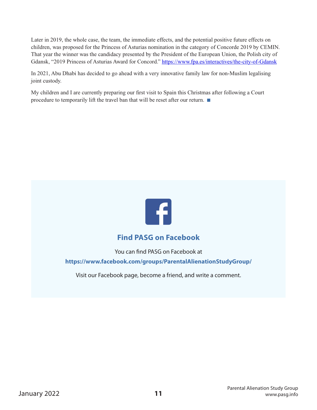Later in 2019, the whole case, the team, the immediate effects, and the potential positive future effects on children, was proposed for the Princess of Asturias nomination in the category of Concorde 2019 by CEMIN. That year the winner was the candidacy presented by the President of the European Union, the Polish city of Gdansk, "2019 Princess of Asturias Award for Concord." https://www.fpa.es/interactives/the-city-of-Gdansk

In 2021, Abu Dhabi has decided to go ahead with a very innovative family law for non-Muslim legalising joint custody.

My children and I are currently preparing our first visit to Spain this Christmas after following a Court procedure to temporarily lift the travel ban that will be reset after our return.



# **Find PASG on Facebook**

You can find PASG on Facebook at

**https://www.facebook.com/groups/ParentalAlienationStudyGroup/**

Visit our Facebook page, become a friend, and write a comment.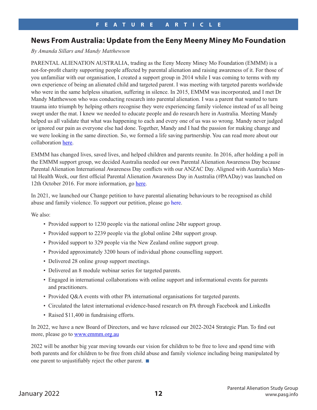## **News From Australia: Update from the Eeny Meeny Miney Mo Foundation**

*By Amanda Sillars and Mandy Matthewson*

PARENTAL ALIENATION AUSTRALIA, trading as the Eeny Meeny Miney Mo Foundation (EMMM) is a not-for-profit charity supporting people affected by parental alienation and raising awareness of it. For those of you unfamiliar with our organisation, I created a support group in 2014 while I was coming to terms with my own experience of being an alienated child and targeted parent. I was meeting with targeted parents worldwide who were in the same helpless situation, suffering in silence. In 2015, EMMM was incorporated, and I met Dr Mandy Matthewson who was conducting research into parental alienation. I was a parent that wanted to turn trauma into triumph by helping others recognise they were experiencing family violence instead of us all being swept under the mat. I knew we needed to educate people and do research here in Australia. Meeting Mandy helped us all validate that what was happening to each and every one of us was so wrong. Mandy never judged or ignored our pain as everyone else had done. Together, Mandy and I had the passion for making change and we were looking in the same direction. So, we formed a life saving partnership. You can read more about our collaboration [here.](https://www.linkedin.com/pulse/australian-researcher-steps-field-where-many-afraid-go-amanda-sillars/)

EMMM has changed lives, saved lives, and helped children and parents reunite. In 2016, after holding a poll in the EMMM support group, we decided Australia needed our own Parental Alienation Awareness Day because Parental Alienation International Awareness Day conflicts with our ANZAC Day. Aligned with Australia's Mental Health Week, our first official Parental Alienation Awareness Day in Australia (#PAADay) was launched on 12th October 2016. For more information, go [here](https://emmm.org.au/paaday).

In 2021, we launched our Change petition to have parental alienating behaviours to be recognised as child abuse and family violence. To support our petition, please go [here.](https://www.change.org/p/petition-for-parental-alienating-behaviours-as-child-abuse-and-family-violence)

We also:

- Provided support to 1230 people via the national online 24hr support group.
- Provided support to 2239 people via the global online 24hr support group.
- Provided support to 329 people via the New Zealand online support group.
- Provided approximately 3200 hours of individual phone counselling support.
- Delivered 28 online group support meetings.
- Delivered an 8 module webinar series for targeted parents.
- Engaged in international collaborations with online support and informational events for parents and practitioners.
- Provided Q&A events with other PA international organisations for targeted parents.
- Circulated the latest international evidence-based research on PA through Facebook and LinkedIn
- Raised \$11,400 in fundraising efforts.

In 2022, we have a new Board of Directors, and we have released our 2022-2024 Strategic Plan. To find out more, please go to **www.emmm.org.au** 

2022 will be another big year moving towards our vision for children to be free to love and spend time with both parents and for children to be free from child abuse and family violence including being manipulated by one parent to unjustifiably reject the other parent.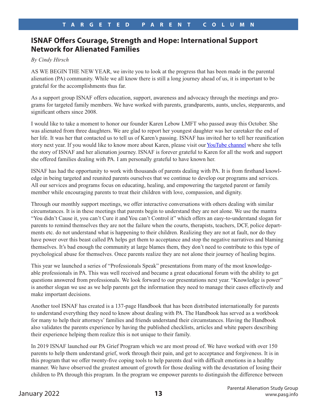# **ISNAF Offers Courage, Strength and Hope: International Support Network for Alienated Families**

*By Cindy Hirsch*

AS WE BEGIN THE NEW YEAR, we invite you to look at the progress that has been made in the parental alienation (PA) community. While we all know there is still a long journey ahead of us, it is important to be grateful for the accomplishments thus far.

As a support group ISNAF offers education, support, awareness and advocacy through the meetings and programs for targeted family members. We have worked with parents, grandparents, aunts, uncles, stepparents, and significant others since 2008.

I would like to take a moment to honor our founder Karen Lebow LMFT who passed away this October. She was alienated from three daughters. We are glad to report her youngest daughter was her caretaker the end of her life. It was her that contacted us to tell us of Karen's passing. ISNAF has invited her to tell her reunification story next year. If you would like to know more about Karen, please visit our [YouTube channel](https://www.youtube.com/channel/UCB6Fg26zQR78UbOCIR889VQ) where she tells the story of ISNAF and her alienation journey. ISNAF is forever grateful to Karen for all the work and support she offered families dealing with PA. I am personally grateful to have known her.

ISNAF has had the opportunity to work with thousands of parents dealing with PA. It is from firsthand knowledge in being targeted and reunited parents ourselves that we continue to develop our programs and services. All our services and programs focus on educating, healing, and empowering the targeted parent or family member while encouraging parents to treat their children with love, compassion, and dignity.

Through our monthly support meetings, we offer interactive conversations with others dealing with similar circumstances. It is in these meetings that parents begin to understand they are not alone. We use the mantra "You didn't Cause it, you can't Cure it and You can't Control it" which offers an easy-to-understand slogan for parents to remind themselves they are not the failure when the courts, therapists, teachers, DCF, police departments etc. do not understand what is happening to their children. Realizing they are not at fault, nor do they have power over this beast called PA helps get them to acceptance and stop the negative narratives and blaming themselves. It's bad enough the community at large blames them, they don't need to contribute to this type of psychological abuse for themselves. Once parents realize they are not alone their journey of healing begins.

This year we launched a series of "Professionals Speak" presentations from many of the most knowledgeable professionals in PA. This was well received and became a great educational forum with the ability to get questions answered from professionals. We look forward to our presentations next year. "Knowledge is power" is another slogan we use as we help parents get the information they need to manage their cases effectively and make important decisions.

Another tool ISNAF has created is a 137-page Handbook that has been distributed internationally for parents to understand everything they need to know about dealing with PA. The Handbook has served as a workbook for many to help their attorneys' families and friends understand their circumstances. Having the Handbook also validates the parents experience by having the published checklists, articles and white papers describing their experience helping them realize this is not unique to their family.

In 2019 ISNAF launched our PA Grief Program which we are most proud of. We have worked with over 150 parents to help them understand grief, work through their pain, and get to acceptance and forgiveness. It is in this program that we offer twenty-five coping tools to help parents deal with difficult emotions in a healthy manner. We have observed the greatest amount of growth for those dealing with the devastation of losing their children to PA through this program. In the program we empower parents to distinguish the difference between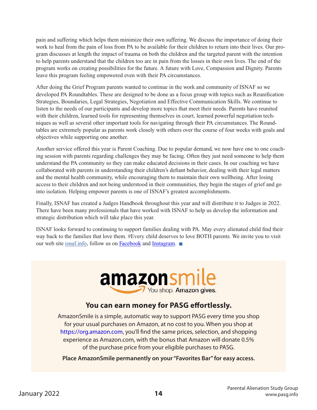pain and suffering which helps them minimize their own suffering. We discuss the importance of doing their work to heal from the pain of loss from PA to be available for their children to return into their lives. Our program discusses at length the impact of trauma on both the children and the targeted parent with the intention to help parents understand that the children too are in pain from the losses in their own lives. The end of the program works on creating possibilities for the future. A future with Love, Compassion and Dignity. Parents leave this program feeling empowered even with their PA circumstances.

After doing the Grief Program parents wanted to continue in the work and community of ISNAF so we developed PA Roundtables. These are designed to be done as a focus group with topics such as Reunification Strategies, Boundaries, Legal Strategies, Negotiation and Effective Communication Skills. We continue to listen to the needs of our participants and develop more topics that meet their needs. Parents have reunited with their children, learned tools for representing themselves in court, learned powerful negotiation techniques as well as several other important tools for navigating through their PA circumstances. The Roundtables are extremely popular as parents work closely with others over the course of four weeks with goals and objectives while supporting one another.

Another service offered this year is Parent Coaching. Due to popular demand, we now have one to one coaching session with parents regarding challenges they may be facing. Often they just need someone to help them understand the PA community so they can make educated decisions in their cases. In our coaching we have collaborated with parents in understanding their children's defiant behavior, dealing with their legal matters and the mental health community, while encouraging them to maintain their own wellbeing. After losing access to their children and not being understood in their communities, they begin the stages of grief and go into isolation. Helping empower parents is one of ISNAF's greatest accomplishments.

Finally, ISNAF has created a Judges Handbook throughout this year and will distribute it to Judges in 2022. There have been many professionals that have worked with ISNAF to help us develop the information and strategic distribution which will take place this year.

ISNAF looks forward to continuing to support families dealing with PA. May every alienated child find their way back to the families that love them. #Every child deserves to love BOTH parents. We invite you to visit our web site [isnaf.info,](https://isnaf.info/) follow us on [Facebook](https://www.facebook.com/parentalalienation.isnaf/) and [Instagram](https://www.instagram.com/isnaf.nonprofit/?hl=en).



# **You can earn money for PASG effortlessly.**

AmazonSmile is a simple, automatic way to support PASG every time you shop for your usual purchases on Amazon, at no cost to you. When you shop at https://org.amazon.com, you'll find the same prices, selection, and shopping experience as Amazon.com, with the bonus that Amazon will donate 0.5% of the purchase price from your eligible purchases to PASG.

**Place AmazonSmile permanently on your "Favorites Bar" for easy access.**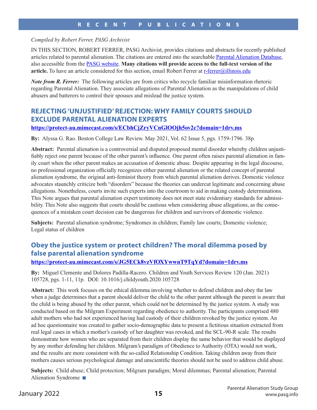#### *Compiled by Robert Ferrer, PASG Archivist*

IN THIS SECTION, ROBERT FERRER, PASG Archivist, provides citations and abstracts for recently published articles related to parental alienation. The citations are entered into the searchable [Parental Alienation Database,](https://ckm.vumc.org/pasg/citation-manager) also accessible from the [PASG website](https://pasg.info/). **Many citations will provide access to the full-text version of the article.** To have an article considered for this section, email Robert Ferrer at r-ferrer@illinois.edu

*Note from R. Ferrer:* The following articles are from critics who recycle familiar misinformation rhetoric regarding Parental Alienation. They associate allegations of Parental Alienation as the manipulations of child abusers and batterers to control their spouses and mislead the justice system.

## **REJECTING 'UNJUSTIFIED' REJECTION: WHY FAMILY COURTS SHOULD EXCLUDE PARENTAL ALIENATION EXPERTS**

#### **https://protect-au.mimecast.com/s/ECbhCjZryVCnGlOOjh5ov2c?domain=1drv.ms**

**By:** Alyssa G. Rao. Boston College Law Review. May 2021, Vol. 62 Issue 5, pgs. 1759-1796. 38p.

**Abstract:** Parental alienation is a controversial and disputed proposed mental disorder whereby children unjustifiably reject one parent because of the other parent's influence. One parent often raises parental alienation in family court when the other parent makes an accusation of domestic abuse. Despite appearing in the legal discourse, no professional organization officially recognizes either parental alienation or the related concept of parental alienation syndrome, the original anti-feminist theory from which parental alienation derives. Domestic violence advocates staunchly criticize both "disorders" because the theories can undercut legitimate and concerning abuse allegations. Nonetheless, courts invite such experts into the courtroom to aid in making custody determinations. This Note argues that parental alienation expert testimony does not meet state evidentiary standards for admissibility. This Note also suggests that courts should be cautious when considering abuse allegations, as the consequences of a mistaken court decision can be dangerous for children and survivors of domestic violence.

**Subjects:** Parental alienation syndrome; Syndromes in children; Family law courts; Domestic violence; Legal status of children

# **Obey the justice system or protect children? The moral dilemma posed by false parental alienation syndrome**

#### **https://protect-au.mimecast.com/s/JG5ECk8vzVfOXYwwnT9TqYd?domain=1drv.ms**

**By:** Miguel Clemente and Dolores Padilla-Racero. Children and Youth Services Review 120 (Jan. 2021) 105728, pgs. 1-11, 11p. DOI: 10.1016/j.childyouth.2020.105728

**Abstract:** This work focuses on the ethical dilemma involving whether to defend children and obey the law when a judge determines that a parent should deliver the child to the other parent although the parent is aware that the child is being abused by the other parent, which could not be determined by the justice system. A study was conducted based on the Milgram Experiment regarding obedience to authority. The participants comprised 480 adult mothers who had not experienced having had custody of their children revoked by the justice system. An ad hoc questionnaire was created to gather socio-demographic data to present a fictitious situation extracted from real legal cases in which a mother's custody of her daughter was revoked, and the SCL-90-R scale. The results demonstrate how women who are separated from their children display the same behavior that would be displayed by any mother defending her children. Milgram's paradigm of Obedience to Authority (OTA) would not work, and the results are more consistent with the so-called Relationship Condition. Taking children away from their mothers causes serious psychological damage and unscientific theories should not be used to address child abuse.

**Subjects:** Child abuse; Child protection; Milgram paradigm; Moral dilemmas; Parental alienation; Parental Alienation Syndrome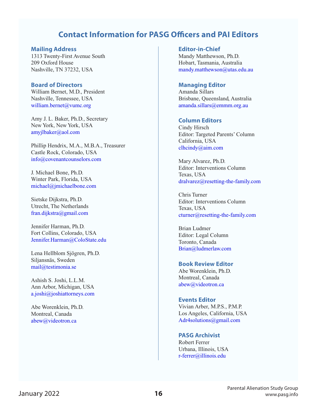# **Contact Information for PASG Officers and PAI Editors**

#### **Mailing Address**

1313 Twenty-First Avenue South 209 Oxford House Nashville, TN 37232, USA

#### **Board of Directors**

William Bernet, M.D., President Nashville, Tennessee, USA william.bernet@vumc.org

Amy J. L. Baker, Ph.D., Secretary New York, New York, USA amyjlbaker@aol.com

Phillip Hendrix, M.A., M.B.A., Treasurer Castle Rock, Colorado, USA info@covenantcounselors.com

J. Michael Bone, Ph.D. Winter Park, Florida, USA michael@jmichaelbone.com

Sietske Dijkstra, Ph.D. Utrecht, The Netherlands fran.dijkstra@gmail.com

Jennifer Harman, Ph.D. Fort Collins, Colorado, USA Jennifer.Harman@ColoState.edu

Lena Hellblom Sjögren, Ph.D. Siljansnäs, Sweden mail@testimonia.se

Ashish S. Joshi, L.L.M. Ann Arbor, Michigan, USA a.joshi@joshiattorneys.com

Abe Worenklein, Ph.D. Montreal, Canada abew@videotron.ca

**Editor-in-Chief** Mandy Matthewson, Ph.D. Hobart, Tasmania, Australia mandy.matthewson@utas.edu.au

#### **Managing Editor**

Amanda Sillars Brisbane, Queensland, Australia amanda.sillars@emmm.org.au

#### **Column Editors**

Cindy Hirsch Editor: Targeted Parents' Column California, USA clhcindy@aim.com

Mary Alvarez, Ph.D. Editor: Interventions Column Texas, USA dralvarez@resetting-the-family.com

Chris Turner Editor: Interventions Column Texas, USA cturner@resetting-the-family.com

Brian Ludmer Editor: Legal Column Toronto, Canada Brian@ludmerlaw.com

#### **Book Review Editor**

Abe Worenklein, Ph.D. Montreal, Canada abew@videotron.ca

#### **Events Editor**

Vivian Arber, M.P.S., P.M.P. Los Angeles, California, USA Adr4solutions@gmail.com

#### **PASG Archivist**

Robert Ferrer Urbana, Illinois, USA r-ferrer@illinois.edu